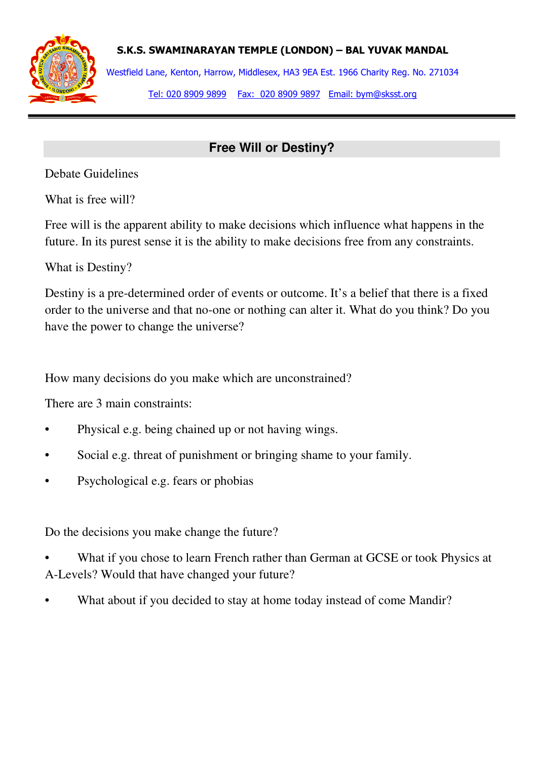

S.K.S. SWAMINARAYAN TEMPLE (LONDON) – BAL YUVAK MANDAL

Westfield Lane, Kenton, Harrow, Middlesex, HA3 9EA Est. 1966 Charity Reg. No. 271034 Tel: 020 8909 9899 Fax: 020 8909 9897 Email: bym@sksst.org

## **Free Will or Destiny?**

Debate Guidelines

What is free will?

Free will is the apparent ability to make decisions which influence what happens in the future. In its purest sense it is the ability to make decisions free from any constraints.

What is Destiny?

Destiny is a pre-determined order of events or outcome. It's a belief that there is a fixed order to the universe and that no-one or nothing can alter it. What do you think? Do you have the power to change the universe?

How many decisions do you make which are unconstrained?

There are 3 main constraints:

- Physical e.g. being chained up or not having wings.
- Social e.g. threat of punishment or bringing shame to your family.
- Psychological e.g. fears or phobias

Do the decisions you make change the future?

- What if you chose to learn French rather than German at GCSE or took Physics at A-Levels? Would that have changed your future?
- What about if you decided to stay at home today instead of come Mandir?